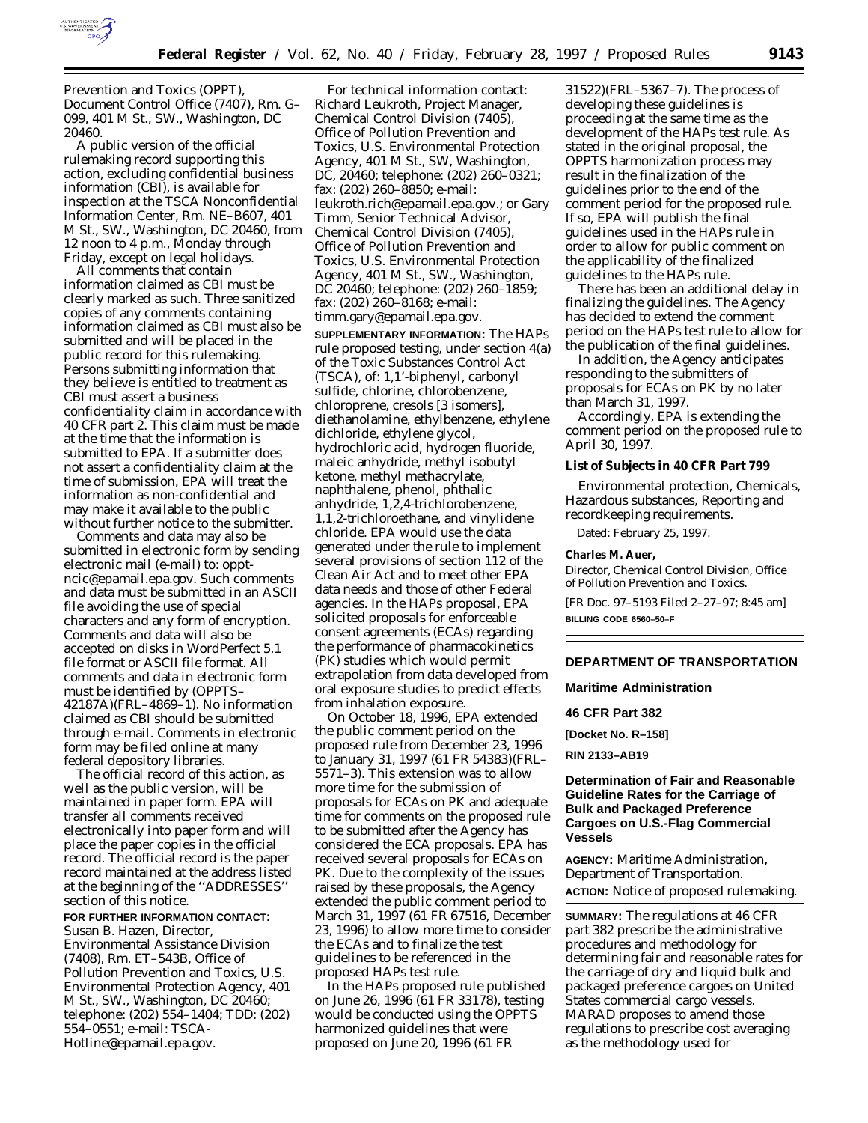

Prevention and Toxics (OPPT), Document Control Office (7407), Rm. G– 099, 401 M St., SW., Washington, DC 20460.

A public version of the official rulemaking record supporting this action, excluding confidential business information (CBI), is available for inspection at the TSCA Nonconfidential Information Center, Rm. NE–B607, 401 M St., SW., Washington, DC 20460, from 12 noon to 4 p.m., Monday through Friday, except on legal holidays.

All comments that contain information claimed as CBI must be clearly marked as such. Three sanitized copies of any comments containing information claimed as CBI must also be submitted and will be placed in the public record for this rulemaking. Persons submitting information that they believe is entitled to treatment as CBI must assert a business confidentiality claim in accordance with 40 CFR part 2. This claim must be made at the time that the information is submitted to EPA. If a submitter does not assert a confidentiality claim at the time of submission, EPA will treat the information as non-confidential and may make it available to the public without further notice to the submitter.

Comments and data may also be submitted in electronic form by sending electronic mail (e-mail) to: opptncic@epamail.epa.gov. Such comments and data must be submitted in an ASCII file avoiding the use of special characters and any form of encryption. Comments and data will also be accepted on disks in WordPerfect 5.1 file format or ASCII file format. All comments and data in electronic form must be identified by (OPPTS– 42187A)(FRL–4869–1). No information claimed as CBI should be submitted through e-mail. Comments in electronic form may be filed online at many federal depository libraries.

The official record of this action, as well as the public version, will be maintained in paper form. EPA will transfer all comments received electronically into paper form and will place the paper copies in the official record. The official record is the paper record maintained at the address listed at the beginning of the ''ADDRESSES'' section of this notice.

## **FOR FURTHER INFORMATION CONTACT:** Susan B. Hazen, Director,

Environmental Assistance Division (7408), Rm. ET–543B, Office of Pollution Prevention and Toxics, U.S. Environmental Protection Agency, 401 M St., SW., Washington, DC 20460; telephone: (202) 554–1404; TDD: (202) 554–0551; e-mail: TSCA-Hotline@epamail.epa.gov.

For technical information contact: Richard Leukroth, Project Manager, Chemical Control Division (7405), Office of Pollution Prevention and Toxics, U.S. Environmental Protection Agency, 401 M St., SW, Washington, DC, 20460; telephone: (202) 260–0321; fax: (202) 260–8850; e-mail: leukroth.rich@epamail.epa.gov.; or Gary Timm, Senior Technical Advisor, Chemical Control Division (7405), Office of Pollution Prevention and Toxics, U.S. Environmental Protection Agency, 401 M St., SW., Washington, DC 20460; telephone: (202) 260–1859; fax: (202) 260–8168; e-mail: timm.gary@epamail.epa.gov.

**SUPPLEMENTARY INFORMATION:** The HAPs rule proposed testing, under section 4(a) of the Toxic Substances Control Act (TSCA), of: 1,1'-biphenyl, carbonyl sulfide, chlorine, chlorobenzene, chloroprene, cresols [3 isomers], diethanolamine, ethylbenzene, ethylene dichloride, ethylene glycol, hydrochloric acid, hydrogen fluoride, maleic anhydride, methyl isobutyl ketone, methyl methacrylate, naphthalene, phenol, phthalic anhydride, 1,2,4-trichlorobenzene, 1,1,2-trichloroethane, and vinylidene chloride. EPA would use the data generated under the rule to implement several provisions of section 112 of the Clean Air Act and to meet other EPA data needs and those of other Federal agencies. In the HAPs proposal, EPA solicited proposals for enforceable consent agreements (ECAs) regarding the performance of pharmacokinetics (PK) studies which would permit extrapolation from data developed from oral exposure studies to predict effects from inhalation exposure.

On October 18, 1996, EPA extended the public comment period on the proposed rule from December 23, 1996 to January 31, 1997 (61 FR 54383)(FRL– 5571–3). This extension was to allow more time for the submission of proposals for ECAs on PK and adequate time for comments on the proposed rule to be submitted after the Agency has considered the ECA proposals. EPA has received several proposals for ECAs on PK. Due to the complexity of the issues raised by these proposals, the Agency extended the public comment period to March 31, 1997 (61 FR 67516, December 23, 1996) to allow more time to consider the ECAs and to finalize the test guidelines to be referenced in the proposed HAPs test rule.

In the HAPs proposed rule published on June 26, 1996 (61 FR 33178), testing would be conducted using the OPPTS harmonized guidelines that were proposed on June 20, 1996 (61 FR

31522)(FRL–5367–7). The process of developing these guidelines is proceeding at the same time as the development of the HAPs test rule. As stated in the original proposal, the OPPTS harmonization process may result in the finalization of the guidelines prior to the end of the comment period for the proposed rule. If so, EPA will publish the final guidelines used in the HAPs rule in order to allow for public comment on the applicability of the finalized guidelines to the HAPs rule.

There has been an additional delay in finalizing the guidelines. The Agency has decided to extend the comment period on the HAPs test rule to allow for the publication of the final guidelines.

In addition, the Agency anticipates responding to the submitters of proposals for ECAs on PK by no later than March 31, 1997.

Accordingly, EPA is extending the comment period on the proposed rule to April 30, 1997.

**List of Subjects in 40 CFR Part 799**

Environmental protection, Chemicals, Hazardous substances, Reporting and recordkeeping requirements.

Dated: February 25, 1997.

## **Charles M. Auer,**

*Director, Chemical Control Division, Office of Pollution Prevention and Toxics.*

[FR Doc. 97–5193 Filed 2–27–97; 8:45 am] **BILLING CODE 6560–50–F**

# **DEPARTMENT OF TRANSPORTATION**

**Maritime Administration**

#### **46 CFR Part 382**

**[Docket No. R–158]**

**RIN 2133–AB19**

# **Determination of Fair and Reasonable Guideline Rates for the Carriage of Bulk and Packaged Preference Cargoes on U.S.-Flag Commercial Vessels**

**AGENCY:** Maritime Administration, Department of Transportation. **ACTION:** Notice of proposed rulemaking.

**SUMMARY:** The regulations at 46 CFR part 382 prescribe the administrative procedures and methodology for determining fair and reasonable rates for the carriage of dry and liquid bulk and packaged preference cargoes on United States commercial cargo vessels. MARAD proposes to amend those regulations to prescribe cost averaging as the methodology used for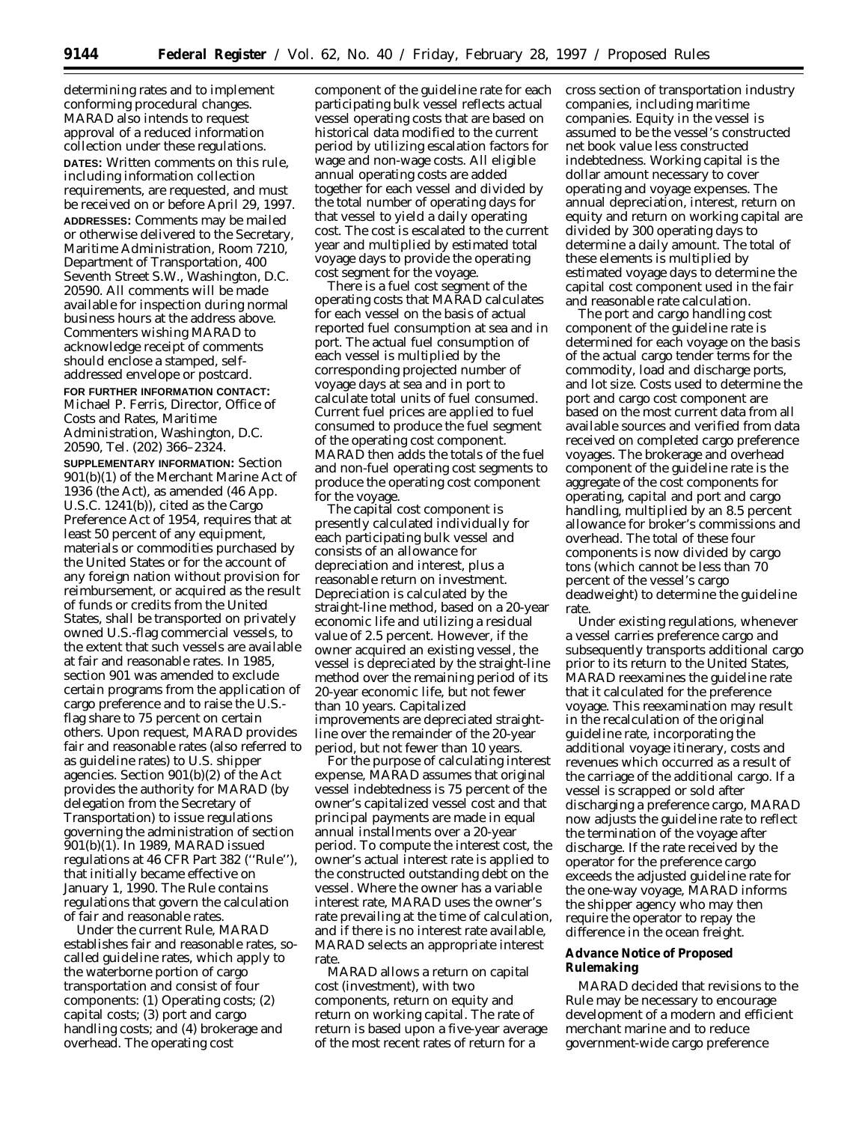determining rates and to implement conforming procedural changes. MARAD also intends to request approval of a reduced information collection under these regulations. **DATES:** Written comments on this rule, including information collection requirements, are requested, and must be received on or before April 29, 1997. **ADDRESSES:** Comments may be mailed or otherwise delivered to the Secretary, Maritime Administration, Room 7210, Department of Transportation, 400 Seventh Street S.W., Washington, D.C. 20590. All comments will be made available for inspection during normal business hours at the address above. Commenters wishing MARAD to acknowledge receipt of comments should enclose a stamped, selfaddressed envelope or postcard. **FOR FURTHER INFORMATION CONTACT:** Michael P. Ferris, Director, Office of Costs and Rates, Maritime Administration, Washington, D.C. 20590, Tel. (202) 366–2324.

**SUPPLEMENTARY INFORMATION:** Section 901(b)(1) of the Merchant Marine Act of 1936 (the Act), as amended (46 App. U.S.C. 1241(b)), cited as the Cargo Preference Act of 1954, requires that at least 50 percent of any equipment, materials or commodities purchased by the United States or for the account of any foreign nation without provision for reimbursement, or acquired as the result of funds or credits from the United States, shall be transported on privately owned U.S.-flag commercial vessels, to the extent that such vessels are available at fair and reasonable rates. In 1985, section 901 was amended to exclude certain programs from the application of cargo preference and to raise the U.S. flag share to 75 percent on certain others. Upon request, MARAD provides fair and reasonable rates (also referred to as guideline rates) to U.S. shipper agencies. Section 901(b)(2) of the Act provides the authority for MARAD (by delegation from the Secretary of Transportation) to issue regulations governing the administration of section 901(b)(1). In 1989, MARAD issued regulations at 46 CFR Part 382 (''Rule''), that initially became effective on January 1, 1990. The Rule contains regulations that govern the calculation of fair and reasonable rates.

Under the current Rule, MARAD establishes fair and reasonable rates, socalled guideline rates, which apply to the waterborne portion of cargo transportation and consist of four components: (1) Operating costs; (2) capital costs; (3) port and cargo handling costs; and (4) brokerage and overhead. The operating cost

component of the guideline rate for each participating bulk vessel reflects actual vessel operating costs that are based on historical data modified to the current period by utilizing escalation factors for wage and non-wage costs. All eligible annual operating costs are added together for each vessel and divided by the total number of operating days for that vessel to yield a daily operating cost. The cost is escalated to the current year and multiplied by estimated total voyage days to provide the operating cost segment for the voyage.

There is a fuel cost segment of the operating costs that MARAD calculates for each vessel on the basis of actual reported fuel consumption at sea and in port. The actual fuel consumption of each vessel is multiplied by the corresponding projected number of voyage days at sea and in port to calculate total units of fuel consumed. Current fuel prices are applied to fuel consumed to produce the fuel segment of the operating cost component. MARAD then adds the totals of the fuel and non-fuel operating cost segments to produce the operating cost component for the voyage.

The capital cost component is presently calculated individually for each participating bulk vessel and consists of an allowance for depreciation and interest, plus a reasonable return on investment. Depreciation is calculated by the straight-line method, based on a 20-year economic life and utilizing a residual value of 2.5 percent. However, if the owner acquired an existing vessel, the vessel is depreciated by the straight-line method over the remaining period of its 20-year economic life, but not fewer than 10 years. Capitalized improvements are depreciated straightline over the remainder of the 20-year period, but not fewer than 10 years.

For the purpose of calculating interest expense, MARAD assumes that original vessel indebtedness is 75 percent of the owner's capitalized vessel cost and that principal payments are made in equal annual installments over a 20-year period. To compute the interest cost, the owner's actual interest rate is applied to the constructed outstanding debt on the vessel. Where the owner has a variable interest rate, MARAD uses the owner's rate prevailing at the time of calculation, and if there is no interest rate available, MARAD selects an appropriate interest rate.

MARAD allows a return on capital cost (investment), with two components, return on equity and return on working capital. The rate of return is based upon a five-year average of the most recent rates of return for a

cross section of transportation industry companies, including maritime companies. Equity in the vessel is assumed to be the vessel's constructed net book value less constructed indebtedness. Working capital is the dollar amount necessary to cover operating and voyage expenses. The annual depreciation, interest, return on equity and return on working capital are divided by 300 operating days to determine a daily amount. The total of these elements is multiplied by estimated voyage days to determine the capital cost component used in the fair and reasonable rate calculation.

The port and cargo handling cost component of the guideline rate is determined for each voyage on the basis of the actual cargo tender terms for the commodity, load and discharge ports, and lot size. Costs used to determine the port and cargo cost component are based on the most current data from all available sources and verified from data received on completed cargo preference voyages. The brokerage and overhead component of the guideline rate is the aggregate of the cost components for operating, capital and port and cargo handling, multiplied by an 8.5 percent allowance for broker's commissions and overhead. The total of these four components is now divided by cargo tons (which cannot be less than 70 percent of the vessel's cargo deadweight) to determine the guideline rate.

Under existing regulations, whenever a vessel carries preference cargo and subsequently transports additional cargo prior to its return to the United States, MARAD reexamines the guideline rate that it calculated for the preference voyage. This reexamination may result in the recalculation of the original guideline rate, incorporating the additional voyage itinerary, costs and revenues which occurred as a result of the carriage of the additional cargo. If a vessel is scrapped or sold after discharging a preference cargo, MARAD now adjusts the guideline rate to reflect the termination of the voyage after discharge. If the rate received by the operator for the preference cargo exceeds the adjusted guideline rate for the one-way voyage, MARAD informs the shipper agency who may then require the operator to repay the difference in the ocean freight.

# **Advance Notice of Proposed Rulemaking**

MARAD decided that revisions to the Rule may be necessary to encourage development of a modern and efficient merchant marine and to reduce government-wide cargo preference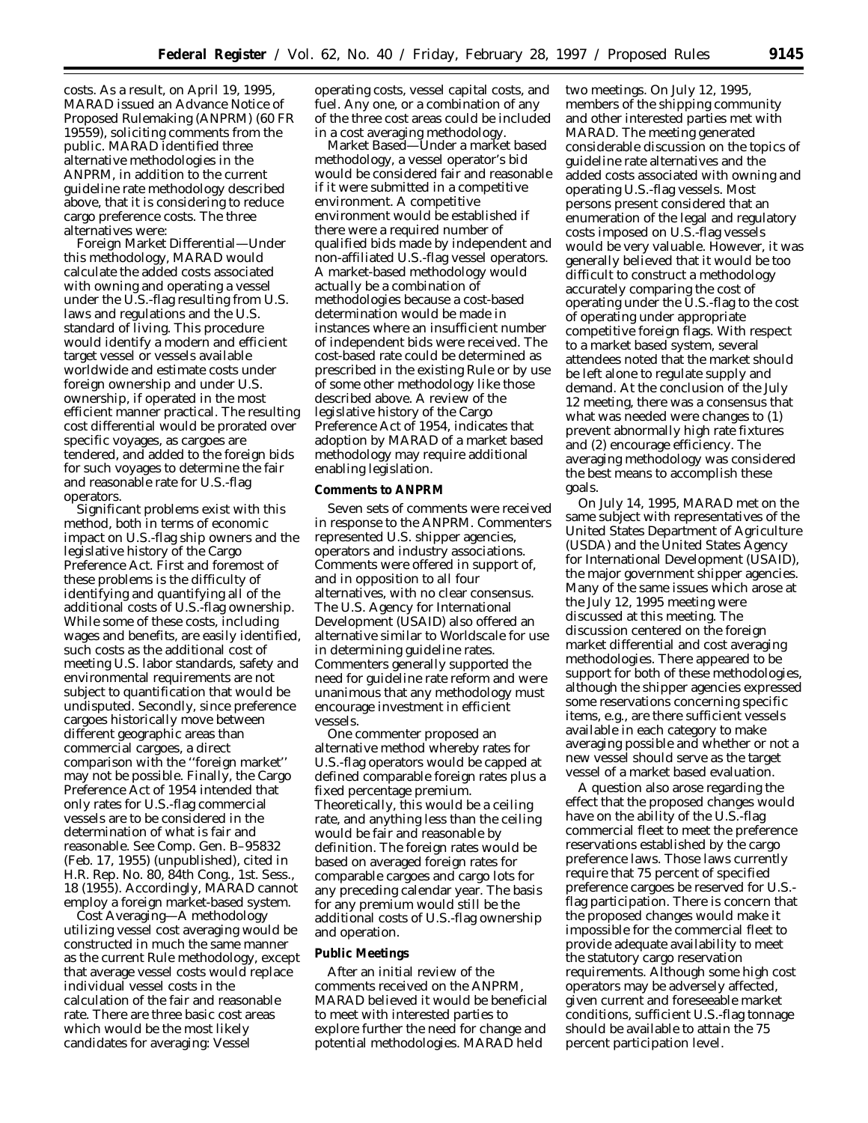costs. As a result, on April 19, 1995, MARAD issued an Advance Notice of Proposed Rulemaking (ANPRM) (60 FR 19559), soliciting comments from the public. MARAD identified three alternative methodologies in the ANPRM, in addition to the current guideline rate methodology described above, that it is considering to reduce cargo preference costs. The three alternatives were:

Foreign Market Differential—Under this methodology, MARAD would calculate the added costs associated with owning and operating a vessel under the U.S.-flag resulting from U.S. laws and regulations and the U.S. standard of living. This procedure would identify a modern and efficient target vessel or vessels available worldwide and estimate costs under foreign ownership and under U.S. ownership, if operated in the most efficient manner practical. The resulting cost differential would be prorated over specific voyages, as cargoes are tendered, and added to the foreign bids for such voyages to determine the fair and reasonable rate for U.S.-flag operators.

Significant problems exist with this method, both in terms of economic impact on U.S.-flag ship owners and the legislative history of the Cargo Preference Act. First and foremost of these problems is the difficulty of identifying and quantifying all of the additional costs of U.S.-flag ownership. While some of these costs, including wages and benefits, are easily identified, such costs as the additional cost of meeting U.S. labor standards, safety and environmental requirements are not subject to quantification that would be undisputed. Secondly, since preference cargoes historically move between different geographic areas than commercial cargoes, a direct comparison with the ''foreign market'' may not be possible. Finally, the Cargo Preference Act of 1954 intended that only rates for U.S.-flag commercial vessels are to be considered in the determination of what is fair and reasonable. See Comp. Gen. B–95832 (Feb. 17, 1955) (unpublished), cited in *H.R. Rep. No. 80,* 84th Cong., 1st. Sess., 18 (1955). Accordingly, MARAD cannot employ a foreign market-based system.

Cost Averaging—A methodology utilizing vessel cost averaging would be constructed in much the same manner as the current Rule methodology, except that average vessel costs would replace individual vessel costs in the calculation of the fair and reasonable rate. There are three basic cost areas which would be the most likely candidates for averaging: Vessel

operating costs, vessel capital costs, and fuel. Any one, or a combination of any of the three cost areas could be included in a cost averaging methodology.

Market Based—Under a market based methodology, a vessel operator's bid would be considered fair and reasonable if it were submitted in a competitive environment. A competitive environment would be established if there were a required number of qualified bids made by independent and non-affiliated U.S.-flag vessel operators. A market-based methodology would actually be a combination of methodologies because a cost-based determination would be made in instances where an insufficient number of independent bids were received. The cost-based rate could be determined as prescribed in the existing Rule or by use of some other methodology like those described above. A review of the legislative history of the Cargo Preference Act of 1954, indicates that adoption by MARAD of a market based methodology may require additional enabling legislation.

# **Comments to ANPRM**

Seven sets of comments were received in response to the ANPRM. Commenters represented U.S. shipper agencies, operators and industry associations. Comments were offered in support of, and in opposition to all four alternatives, with no clear consensus. The U.S. Agency for International Development (USAID) also offered an alternative similar to *Worldscale* for use in determining guideline rates. Commenters generally supported the need for guideline rate reform and were unanimous that any methodology must encourage investment in efficient vessels.

One commenter proposed an alternative method whereby rates for U.S.-flag operators would be capped at defined comparable foreign rates plus a fixed percentage premium. Theoretically, this would be a ceiling rate, and anything less than the ceiling would be fair and reasonable by definition. The foreign rates would be based on averaged foreign rates for comparable cargoes and cargo lots for any preceding calendar year. The basis for any premium would still be the additional costs of U.S.-flag ownership and operation.

#### **Public Meetings**

After an initial review of the comments received on the ANPRM, MARAD believed it would be beneficial to meet with interested parties to explore further the need for change and potential methodologies. MARAD held

two meetings. On July 12, 1995, members of the shipping community and other interested parties met with MARAD. The meeting generated considerable discussion on the topics of guideline rate alternatives and the added costs associated with owning and operating U.S.-flag vessels. Most persons present considered that an enumeration of the legal and regulatory costs imposed on U.S.-flag vessels would be very valuable. However, it was generally believed that it would be too difficult to construct a methodology accurately comparing the cost of operating under the U.S.-flag to the cost of operating under appropriate competitive foreign flags. With respect to a market based system, several attendees noted that the market should be left alone to regulate supply and demand. At the conclusion of the July 12 meeting, there was a consensus that what was needed were changes to (1) prevent abnormally high rate fixtures and (2) encourage efficiency. The averaging methodology was considered the best means to accomplish these goals.

On July 14, 1995, MARAD met on the same subject with representatives of the United States Department of Agriculture (USDA) and the United States Agency for International Development (USAID), the major government shipper agencies. Many of the same issues which arose at the July 12, 1995 meeting were discussed at this meeting. The discussion centered on the foreign market differential and cost averaging methodologies. There appeared to be support for both of these methodologies, although the shipper agencies expressed some reservations concerning specific items, e.g., are there sufficient vessels available in each category to make averaging possible and whether or not a new vessel should serve as the target vessel of a market based evaluation.

A question also arose regarding the effect that the proposed changes would have on the ability of the U.S.-flag commercial fleet to meet the preference reservations established by the cargo preference laws. Those laws currently require that 75 percent of specified preference cargoes be reserved for U.S. flag participation. There is concern that the proposed changes would make it impossible for the commercial fleet to provide adequate availability to meet the statutory cargo reservation requirements. Although some high cost operators may be adversely affected, given current and foreseeable market conditions, sufficient U.S.-flag tonnage should be available to attain the 75 percent participation level.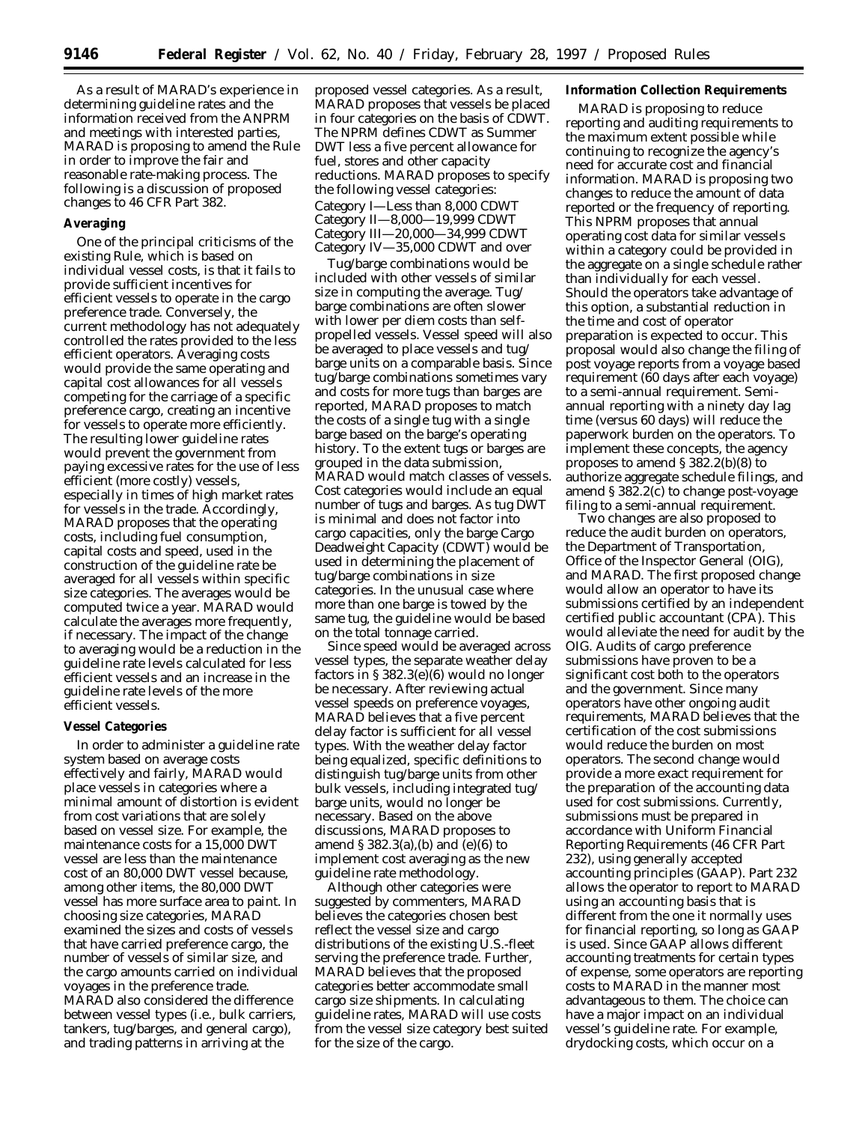As a result of MARAD's experience in determining guideline rates and the information received from the ANPRM and meetings with interested parties, MARAD is proposing to amend the Rule in order to improve the fair and reasonable rate-making process. The following is a discussion of proposed changes to 46 CFR Part 382.

## **Averaging**

One of the principal criticisms of the existing Rule, which is based on individual vessel costs, is that it fails to provide sufficient incentives for efficient vessels to operate in the cargo preference trade. Conversely, the current methodology has not adequately controlled the rates provided to the less efficient operators. Averaging costs would provide the same operating and capital cost allowances for all vessels competing for the carriage of a specific preference cargo, creating an incentive for vessels to operate more efficiently. The resulting lower guideline rates would prevent the government from paying excessive rates for the use of less efficient (more costly) vessels, especially in times of high market rates for vessels in the trade. Accordingly, MARAD proposes that the operating costs, including fuel consumption, capital costs and speed, used in the construction of the guideline rate be averaged for all vessels within specific size categories. The averages would be computed twice a year. MARAD would calculate the averages more frequently, if necessary. The impact of the change to averaging would be a reduction in the guideline rate levels calculated for less efficient vessels and an increase in the guideline rate levels of the more efficient vessels.

# **Vessel Categories**

In order to administer a guideline rate system based on average costs effectively and fairly, MARAD would place vessels in categories where a minimal amount of distortion is evident from cost variations that are solely based on vessel size. For example, the maintenance costs for a 15,000 DWT vessel are less than the maintenance cost of an 80,000 DWT vessel because, among other items, the 80,000 DWT vessel has more surface area to paint. In choosing size categories, MARAD examined the sizes and costs of vessels that have carried preference cargo, the number of vessels of similar size, and the cargo amounts carried on individual voyages in the preference trade. MARAD also considered the difference between vessel types (i.e., bulk carriers, tankers, tug/barges, and general cargo), and trading patterns in arriving at the

proposed vessel categories. As a result, MARAD proposes that vessels be placed in four categories on the basis of CDWT. The NPRM defines CDWT as Summer DWT less a five percent allowance for fuel, stores and other capacity reductions. MARAD proposes to specify the following vessel categories: Category I—Less than 8,000 CDWT Category II—8,000—19,999 CDWT Category III—20,000—34,999 CDWT Category IV—35,000 CDWT and over

Tug/barge combinations would be included with other vessels of similar size in computing the average. Tug/ barge combinations are often slower with lower per diem costs than selfpropelled vessels. Vessel speed will also be averaged to place vessels and tug/ barge units on a comparable basis. Since tug/barge combinations sometimes vary and costs for more tugs than barges are reported, MARAD proposes to match the costs of a single tug with a single barge based on the barge's operating history. To the extent tugs or barges are grouped in the data submission, MARAD would match classes of vessels. Cost categories would include an equal number of tugs and barges. As tug DWT is minimal and does not factor into cargo capacities, only the barge Cargo Deadweight Capacity (CDWT) would be used in determining the placement of tug/barge combinations in size categories. In the unusual case where more than one barge is towed by the same tug, the guideline would be based on the total tonnage carried.

Since speed would be averaged across vessel types, the separate weather delay factors in § 382.3(e)(6) would no longer be necessary. After reviewing actual vessel speeds on preference voyages, MARAD believes that a five percent delay factor is sufficient for all vessel types. With the weather delay factor being equalized, specific definitions to distinguish tug/barge units from other bulk vessels, including integrated tug/ barge units, would no longer be necessary. Based on the above discussions, MARAD proposes to amend § 382.3(a),(b) and (e)(6) to implement cost averaging as the new guideline rate methodology.

Although other categories were suggested by commenters, MARAD believes the categories chosen best reflect the vessel size and cargo distributions of the existing U.S.-fleet serving the preference trade. Further, MARAD believes that the proposed categories better accommodate small cargo size shipments. In calculating guideline rates, MARAD will use costs from the vessel size category best suited for the size of the cargo.

# **Information Collection Requirements**

MARAD is proposing to reduce reporting and auditing requirements to the maximum extent possible while continuing to recognize the agency's need for accurate cost and financial information. MARAD is proposing two changes to reduce the amount of data reported or the frequency of reporting. This NPRM proposes that annual operating cost data for similar vessels within a category could be provided in the aggregate on a single schedule rather than individually for each vessel. Should the operators take advantage of this option, a substantial reduction in the time and cost of operator preparation is expected to occur. This proposal would also change the filing of post voyage reports from a voyage based requirement (60 days after each voyage) to a semi-annual requirement. Semiannual reporting with a ninety day lag time (versus 60 days) will reduce the paperwork burden on the operators. To implement these concepts, the agency proposes to amend § 382.2(b)(8) to authorize aggregate schedule filings, and amend § 382.2(c) to change post-voyage filing to a semi-annual requirement.

Two changes are also proposed to reduce the audit burden on operators, the Department of Transportation, Office of the Inspector General (OIG), and MARAD. The first proposed change would allow an operator to have its submissions certified by an independent certified public accountant (CPA). This would alleviate the need for audit by the OIG. Audits of cargo preference submissions have proven to be a significant cost both to the operators and the government. Since many operators have other ongoing audit requirements, MARAD believes that the certification of the cost submissions would reduce the burden on most operators. The second change would provide a more exact requirement for the preparation of the accounting data used for cost submissions. Currently, submissions must be prepared in accordance with Uniform Financial Reporting Requirements (46 CFR Part 232), using generally accepted accounting principles (GAAP). Part 232 allows the operator to report to MARAD using an accounting basis that is different from the one it normally uses for financial reporting, so long as GAAP is used. Since GAAP allows different accounting treatments for certain types of expense, some operators are reporting costs to MARAD in the manner most advantageous to them. The choice can have a major impact on an individual vessel's guideline rate. For example, drydocking costs, which occur on a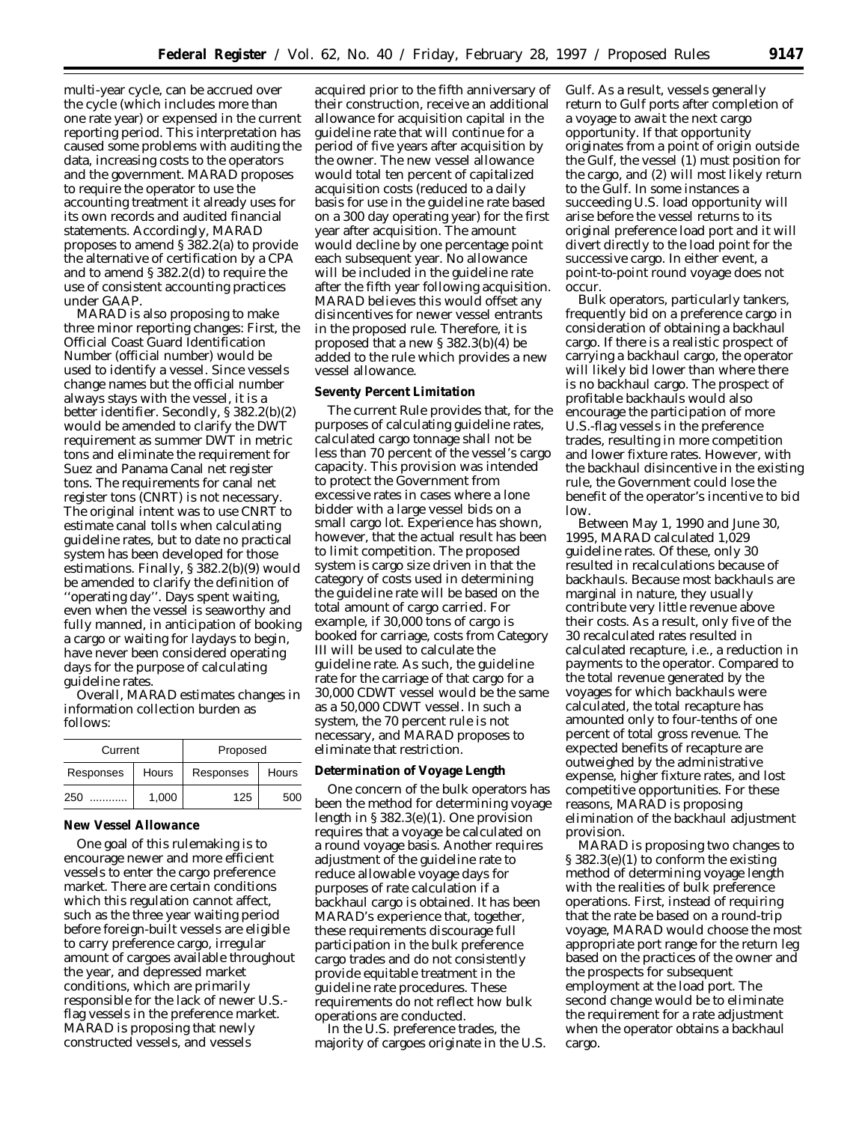multi-year cycle, can be accrued over the cycle (which includes more than one rate year) or expensed in the current reporting period. This interpretation has caused some problems with auditing the data, increasing costs to the operators and the government. MARAD proposes to require the operator to use the accounting treatment it already uses for its own records and audited financial statements. Accordingly, MARAD proposes to amend § 382.2(a) to provide the alternative of certification by a CPA and to amend § 382.2(d) to require the use of consistent accounting practices under GAAP.

MARAD is also proposing to make three minor reporting changes: First, the Official Coast Guard Identification Number (official number) would be used to identify a vessel. Since vessels change names but the official number always stays with the vessel, it is a better identifier. Secondly, § 382.2(b)(2) would be amended to clarify the DWT requirement as summer DWT in metric tons and eliminate the requirement for Suez and Panama Canal net register tons. The requirements for canal net register tons (CNRT) is not necessary. The original intent was to use CNRT to estimate canal tolls when calculating guideline rates, but to date no practical system has been developed for those estimations. Finally, § 382.2(b)(9) would be amended to clarify the definition of ''operating day''. Days spent waiting, even when the vessel is seaworthy and fully manned, in anticipation of booking a cargo or waiting for laydays to begin, have never been considered operating days for the purpose of calculating guideline rates.

Overall, MARAD estimates changes in information collection burden as follows:

| Current   |       | Proposed  |       |  |  |
|-----------|-------|-----------|-------|--|--|
| Responses | Hours | Responses | Hours |  |  |
| 250       | 1,000 | 125       | 500   |  |  |

# **New Vessel Allowance**

One goal of this rulemaking is to encourage newer and more efficient vessels to enter the cargo preference market. There are certain conditions which this regulation cannot affect, such as the three year waiting period before foreign-built vessels are eligible to carry preference cargo, irregular amount of cargoes available throughout the year, and depressed market conditions, which are primarily responsible for the lack of newer U.S. flag vessels in the preference market. MARAD is proposing that newly constructed vessels, and vessels

acquired prior to the fifth anniversary of their construction, receive an additional allowance for acquisition capital in the guideline rate that will continue for a period of five years after acquisition by the owner. The new vessel allowance would total ten percent of capitalized acquisition costs (reduced to a daily basis for use in the guideline rate based on a 300 day operating year) for the first year after acquisition. The amount would decline by one percentage point each subsequent year. No allowance will be included in the guideline rate after the fifth year following acquisition. MARAD believes this would offset any disincentives for newer vessel entrants in the proposed rule. Therefore, it is proposed that a new § 382.3(b)(4) be added to the rule which provides a new vessel allowance.

## **Seventy Percent Limitation**

The current Rule provides that, for the purposes of calculating guideline rates, calculated cargo tonnage shall not be less than 70 percent of the vessel's cargo capacity. This provision was intended to protect the Government from excessive rates in cases where a lone bidder with a large vessel bids on a small cargo lot. Experience has shown, however, that the actual result has been to limit competition. The proposed system is cargo size driven in that the category of costs used in determining the guideline rate will be based on the total amount of cargo carried. For example, if 30,000 tons of cargo is booked for carriage, costs from Category III will be used to calculate the guideline rate. As such, the guideline rate for the carriage of that cargo for a 30,000 CDWT vessel would be the same as a 50,000 CDWT vessel. In such a system, the 70 percent rule is not necessary, and MARAD proposes to eliminate that restriction.

## **Determination of Voyage Length**

One concern of the bulk operators has been the method for determining voyage length in § 382.3(e)(1). One provision requires that a voyage be calculated on a round voyage basis. Another requires adjustment of the guideline rate to reduce allowable voyage days for purposes of rate calculation if a backhaul cargo is obtained. It has been MARAD's experience that, together, these requirements discourage full participation in the bulk preference cargo trades and do not consistently provide equitable treatment in the guideline rate procedures. These requirements do not reflect how bulk operations are conducted.

In the U.S. preference trades, the majority of cargoes originate in the U.S. Gulf. As a result, vessels generally return to Gulf ports after completion of a voyage to await the next cargo opportunity. If that opportunity originates from a point of origin outside the Gulf, the vessel (1) must position for the cargo, and (2) will most likely return to the Gulf. In some instances a succeeding U.S. load opportunity will arise before the vessel returns to its original preference load port and it will divert directly to the load point for the successive cargo. In either event, a point-to-point round voyage does not occur.

Bulk operators, particularly tankers, frequently bid on a preference cargo in consideration of obtaining a backhaul cargo. If there is a realistic prospect of carrying a backhaul cargo, the operator will likely bid lower than where there is no backhaul cargo. The prospect of profitable backhauls would also encourage the participation of more U.S.-flag vessels in the preference trades, resulting in more competition and lower fixture rates. However, with the backhaul disincentive in the existing rule, the Government could lose the benefit of the operator's incentive to bid low.

Between May 1, 1990 and June 30, 1995, MARAD calculated 1,029 guideline rates. Of these, only 30 resulted in recalculations because of backhauls. Because most backhauls are marginal in nature, they usually contribute very little revenue above their costs. As a result, only five of the 30 recalculated rates resulted in calculated recapture, i.e., a reduction in payments to the operator. Compared to the total revenue generated by the voyages for which backhauls were calculated, the total recapture has amounted only to four-tenths of one percent of total gross revenue. The expected benefits of recapture are outweighed by the administrative expense, higher fixture rates, and lost competitive opportunities. For these reasons, MARAD is proposing elimination of the backhaul adjustment provision.

MARAD is proposing two changes to § 382.3(e)(1) to conform the existing method of determining voyage length with the realities of bulk preference operations. First, instead of requiring that the rate be based on a round-trip voyage, MARAD would choose the most appropriate port range for the return leg based on the practices of the owner and the prospects for subsequent employment at the load port. The second change would be to eliminate the requirement for a rate adjustment when the operator obtains a backhaul cargo.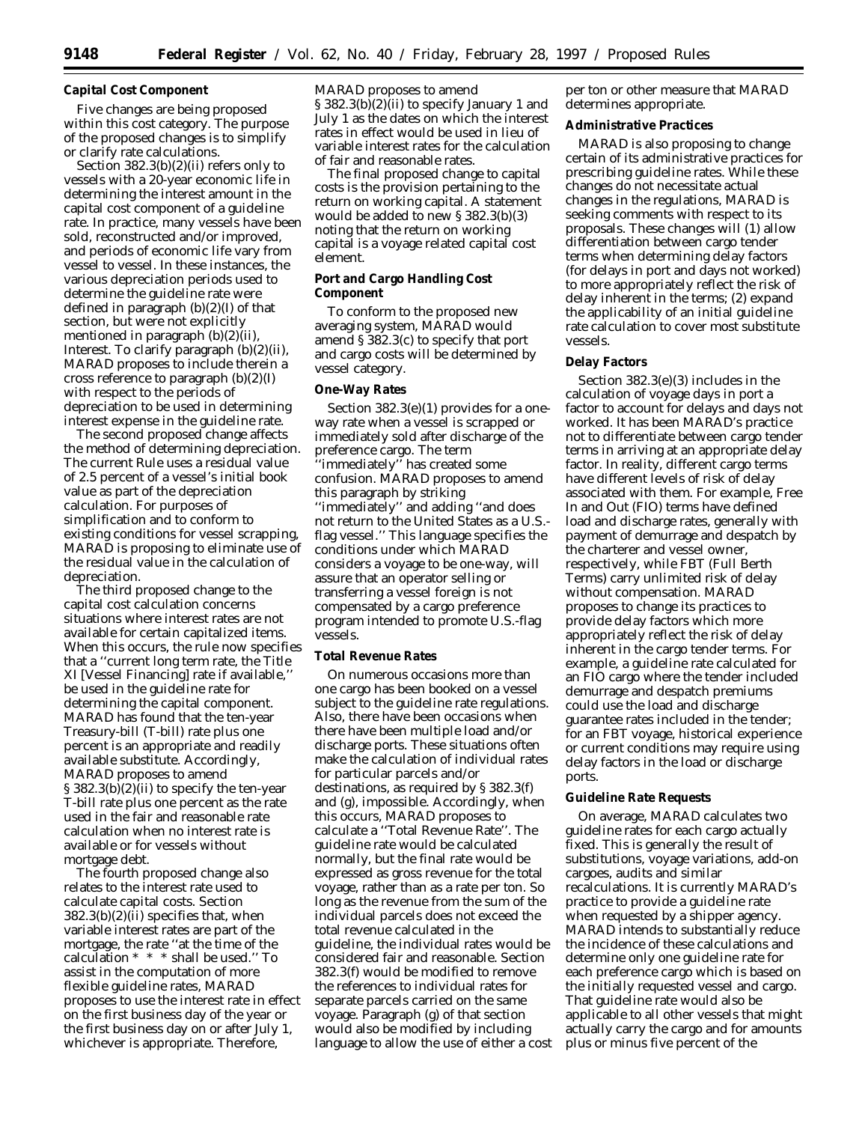# **Capital Cost Component**

Five changes are being proposed within this cost category. The purpose of the proposed changes is to simplify or clarify rate calculations.

Section 382.3(b)(2)(ii) refers only to vessels with a 20-year economic life in determining the interest amount in the capital cost component of a guideline rate. In practice, many vessels have been sold, reconstructed and/or improved, and periods of economic life vary from vessel to vessel. In these instances, the various depreciation periods used to determine the guideline rate were defined in paragraph (b)(2)(I) of that section, but were not explicitly mentioned in paragraph (b)(2)(ii), Interest. To clarify paragraph (b)(2)(ii), MARAD proposes to include therein a cross reference to paragraph  $(b)(2)(I)$ with respect to the periods of depreciation to be used in determining interest expense in the guideline rate.

The second proposed change affects the method of determining depreciation. The current Rule uses a residual value of 2.5 percent of a vessel's initial book value as part of the depreciation calculation. For purposes of simplification and to conform to existing conditions for vessel scrapping, MARAD is proposing to eliminate use of the residual value in the calculation of depreciation.

The third proposed change to the capital cost calculation concerns situations where interest rates are not available for certain capitalized items. When this occurs, the rule now specifies that a ''current long term rate, the Title XI [Vessel Financing] rate if available,'' be used in the guideline rate for determining the capital component. MARAD has found that the ten-year Treasury-bill (T-bill) rate plus one percent is an appropriate and readily available substitute. Accordingly, MARAD proposes to amend § 382.3(b)(2)(ii) to specify the ten-year T-bill rate plus one percent as the rate used in the fair and reasonable rate calculation when no interest rate is available or for vessels without mortgage debt.

The fourth proposed change also relates to the interest rate used to calculate capital costs. Section  $382.3(b)(2)(ii)$  specifies that, when variable interest rates are part of the mortgage, the rate ''at the time of the calculation \* \* \* shall be used.'' To assist in the computation of more flexible guideline rates, MARAD proposes to use the interest rate in effect on the first business day of the year or the first business day on or after July 1, whichever is appropriate. Therefore,

MARAD proposes to amend § 382.3(b)(2)(ii) to specify January 1 and July 1 as the dates on which the interest rates in effect would be used in lieu of variable interest rates for the calculation of fair and reasonable rates.

The final proposed change to capital costs is the provision pertaining to the return on working capital. A statement would be added to new § 382.3(b)(3) noting that the return on working capital is a voyage related capital cost element.

# **Port and Cargo Handling Cost Component**

To conform to the proposed new averaging system, MARAD would amend § 382.3(c) to specify that port and cargo costs will be determined by vessel category.

# **One-Way Rates**

Section 382.3(e)(1) provides for a oneway rate when a vessel is scrapped or immediately sold after discharge of the preference cargo. The term 'immediately" has created some confusion. MARAD proposes to amend this paragraph by striking ''immediately'' and adding ''and does not return to the United States as a U.S. flag vessel.'' This language specifies the conditions under which MARAD considers a voyage to be one-way, will assure that an operator selling or transferring a vessel foreign is not compensated by a cargo preference program intended to promote U.S.-flag vessels.

# **Total Revenue Rates**

On numerous occasions more than one cargo has been booked on a vessel subject to the guideline rate regulations. Also, there have been occasions when there have been multiple load and/or discharge ports. These situations often make the calculation of individual rates for particular parcels and/or destinations, as required by § 382.3(f) and (g), impossible. Accordingly, when this occurs, MARAD proposes to calculate a ''Total Revenue Rate''. The guideline rate would be calculated normally, but the final rate would be expressed as gross revenue for the total voyage, rather than as a rate per ton. So long as the revenue from the sum of the individual parcels does not exceed the total revenue calculated in the guideline, the individual rates would be considered fair and reasonable. Section 382.3(f) would be modified to remove the references to individual rates for separate parcels carried on the same voyage. Paragraph (g) of that section would also be modified by including language to allow the use of either a cost per ton or other measure that MARAD determines appropriate.

#### **Administrative Practices**

MARAD is also proposing to change certain of its administrative practices for prescribing guideline rates. While these changes do not necessitate actual changes in the regulations, MARAD is seeking comments with respect to its proposals. These changes will (1) allow differentiation between cargo tender terms when determining delay factors (for delays in port and days not worked) to more appropriately reflect the risk of delay inherent in the terms; (2) expand the applicability of an initial guideline rate calculation to cover most substitute vessels.

#### **Delay Factors**

Section 382.3(e)(3) includes in the calculation of voyage days in port a factor to account for delays and days not worked. It has been MARAD's practice not to differentiate between cargo tender terms in arriving at an appropriate delay factor. In reality, different cargo terms have different levels of risk of delay associated with them. For example, Free In and Out (FIO) terms have defined load and discharge rates, generally with payment of demurrage and despatch by the charterer and vessel owner, respectively, while FBT (Full Berth Terms) carry unlimited risk of delay without compensation. MARAD proposes to change its practices to provide delay factors which more appropriately reflect the risk of delay inherent in the cargo tender terms. For example, a guideline rate calculated for an FIO cargo where the tender included demurrage and despatch premiums could use the load and discharge guarantee rates included in the tender; for an FBT voyage, historical experience or current conditions may require using delay factors in the load or discharge ports.

#### **Guideline Rate Requests**

On average, MARAD calculates two guideline rates for each cargo actually fixed. This is generally the result of substitutions, voyage variations, add-on cargoes, audits and similar recalculations. It is currently MARAD's practice to provide a guideline rate when requested by a shipper agency. MARAD intends to substantially reduce the incidence of these calculations and determine only one guideline rate for each preference cargo which is based on the initially requested vessel and cargo. That guideline rate would also be applicable to all other vessels that might actually carry the cargo and for amounts plus or minus five percent of the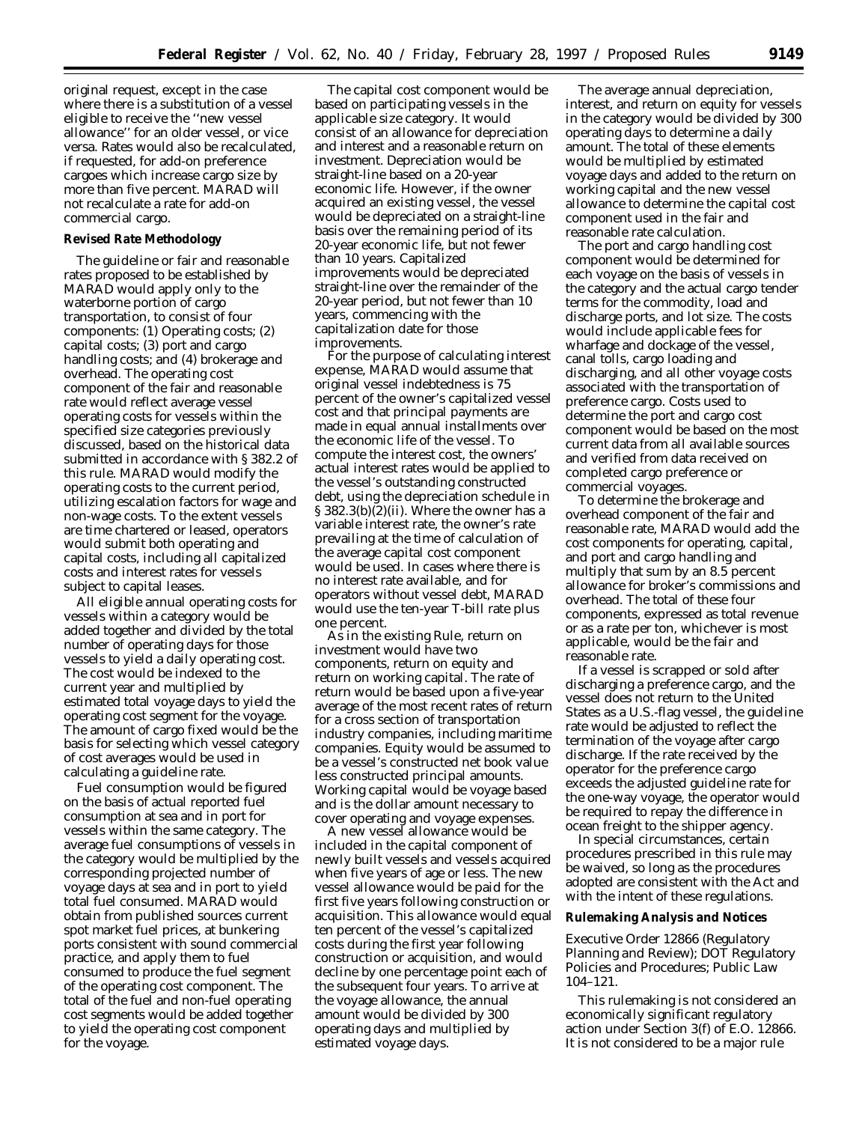original request, except in the case where there is a substitution of a vessel eligible to receive the ''new vessel allowance'' for an older vessel, or vice versa. Rates would also be recalculated, if requested, for add-on preference cargoes which increase cargo size by more than five percent. MARAD will not recalculate a rate for add-on commercial cargo.

# **Revised Rate Methodology**

The guideline or fair and reasonable rates proposed to be established by MARAD would apply only to the waterborne portion of cargo transportation, to consist of four components: (1) Operating costs; (2) capital costs; (3) port and cargo handling costs; and (4) brokerage and overhead. The operating cost component of the fair and reasonable rate would reflect average vessel operating costs for vessels within the specified size categories previously discussed, based on the historical data submitted in accordance with § 382.2 of this rule. MARAD would modify the operating costs to the current period, utilizing escalation factors for wage and non-wage costs. To the extent vessels are time chartered or leased, operators would submit both operating and capital costs, including all capitalized costs and interest rates for vessels subject to capital leases.

All eligible annual operating costs for vessels within a category would be added together and divided by the total number of operating days for those vessels to yield a daily operating cost. The cost would be indexed to the current year and multiplied by estimated total voyage days to yield the operating cost segment for the voyage. The amount of cargo fixed would be the basis for selecting which vessel category of cost averages would be used in calculating a guideline rate.

Fuel consumption would be figured on the basis of actual reported fuel consumption at sea and in port for vessels within the same category. The average fuel consumptions of vessels in the category would be multiplied by the corresponding projected number of voyage days at sea and in port to yield total fuel consumed. MARAD would obtain from published sources current spot market fuel prices, at bunkering ports consistent with sound commercial practice, and apply them to fuel consumed to produce the fuel segment of the operating cost component. The total of the fuel and non-fuel operating cost segments would be added together to yield the operating cost component for the voyage.

The capital cost component would be based on participating vessels in the applicable size category. It would consist of an allowance for depreciation and interest and a reasonable return on investment. Depreciation would be straight-line based on a 20-year economic life. However, if the owner acquired an existing vessel, the vessel would be depreciated on a straight-line basis over the remaining period of its 20-year economic life, but not fewer than 10 years. Capitalized improvements would be depreciated straight-line over the remainder of the 20-year period, but not fewer than 10 years, commencing with the capitalization date for those improvements.

For the purpose of calculating interest expense, MARAD would assume that original vessel indebtedness is 75 percent of the owner's capitalized vessel cost and that principal payments are made in equal annual installments over the economic life of the vessel. To compute the interest cost, the owners' actual interest rates would be applied to the vessel's outstanding constructed debt, using the depreciation schedule in § 382.3(b)(2)(ii). Where the owner has a variable interest rate, the owner's rate prevailing at the time of calculation of the average capital cost component would be used. In cases where there is no interest rate available, and for operators without vessel debt, MARAD would use the ten-year T-bill rate plus one percent.

As in the existing Rule, return on investment would have two components, return on equity and return on working capital. The rate of return would be based upon a five-year average of the most recent rates of return for a cross section of transportation industry companies, including maritime companies. Equity would be assumed to be a vessel's constructed net book value less constructed principal amounts. Working capital would be voyage based and is the dollar amount necessary to cover operating and voyage expenses.

A new vessel allowance would be included in the capital component of newly built vessels and vessels acquired when five years of age or less. The new vessel allowance would be paid for the first five years following construction or acquisition. This allowance would equal ten percent of the vessel's capitalized costs during the first year following construction or acquisition, and would decline by one percentage point each of the subsequent four years. To arrive at the voyage allowance, the annual amount would be divided by 300 operating days and multiplied by estimated voyage days.

The average annual depreciation, interest, and return on equity for vessels in the category would be divided by 300 operating days to determine a daily amount. The total of these elements would be multiplied by estimated voyage days and added to the return on working capital and the new vessel allowance to determine the capital cost component used in the fair and reasonable rate calculation.

The port and cargo handling cost component would be determined for each voyage on the basis of vessels in the category and the actual cargo tender terms for the commodity, load and discharge ports, and lot size. The costs would include applicable fees for wharfage and dockage of the vessel, canal tolls, cargo loading and discharging, and all other voyage costs associated with the transportation of preference cargo. Costs used to determine the port and cargo cost component would be based on the most current data from all available sources and verified from data received on completed cargo preference or commercial voyages.

To determine the brokerage and overhead component of the fair and reasonable rate, MARAD would add the cost components for operating, capital, and port and cargo handling and multiply that sum by an 8.5 percent allowance for broker's commissions and overhead. The total of these four components, expressed as total revenue or as a rate per ton, whichever is most applicable, would be the fair and reasonable rate.

If a vessel is scrapped or sold after discharging a preference cargo, and the vessel does not return to the United States as a U.S.-flag vessel, the guideline rate would be adjusted to reflect the termination of the voyage after cargo discharge. If the rate received by the operator for the preference cargo exceeds the adjusted guideline rate for the one-way voyage, the operator would be required to repay the difference in ocean freight to the shipper agency.

In special circumstances, certain procedures prescribed in this rule may be waived, so long as the procedures adopted are consistent with the Act and with the intent of these regulations.

# **Rulemaking Analysis and Notices**

# *Executive Order 12866 (Regulatory Planning and Review); DOT Regulatory Policies and Procedures; Public Law 104–121.*

This rulemaking is not considered an economically significant regulatory action under Section 3(f) of E.O. 12866. It is not considered to be a major rule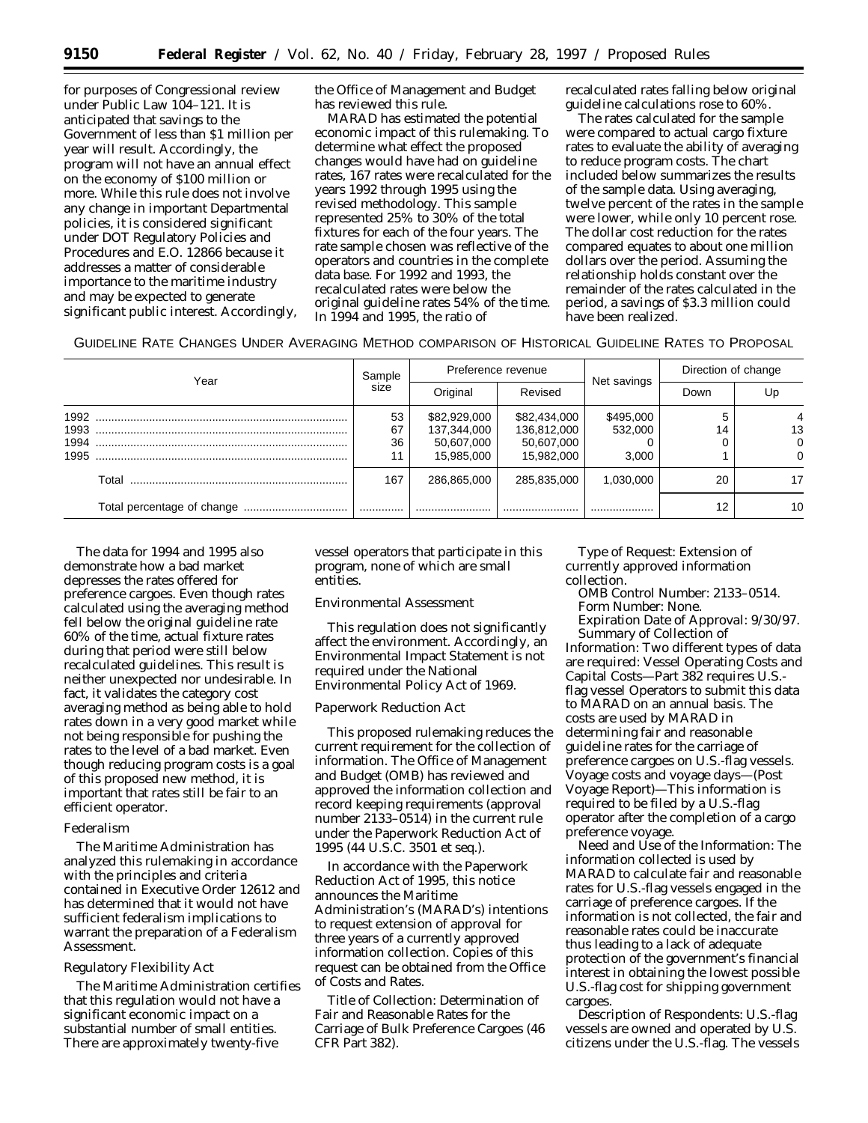for purposes of Congressional review under Public Law 104–121. It is anticipated that savings to the Government of less than \$1 million per year will result. Accordingly, the program will not have an annual effect on the economy of \$100 million or more. While this rule does not involve any change in important Departmental policies, it is considered significant under DOT Regulatory Policies and Procedures and E.O. 12866 because it addresses a matter of considerable importance to the maritime industry and may be expected to generate significant public interest. Accordingly, the Office of Management and Budget has reviewed this rule.

MARAD has estimated the potential economic impact of this rulemaking. To determine what effect the proposed changes would have had on guideline rates, 167 rates were recalculated for the years 1992 through 1995 using the revised methodology. This sample represented 25% to 30% of the total fixtures for each of the four years. The rate sample chosen was reflective of the operators and countries in the complete data base. For 1992 and 1993, the recalculated rates were below the original guideline rates 54% of the time. In 1994 and 1995, the ratio of

recalculated rates falling below original guideline calculations rose to 60%.

The rates calculated for the sample were compared to actual cargo fixture rates to evaluate the ability of averaging to reduce program costs. The chart included below summarizes the results of the sample data. Using averaging, twelve percent of the rates in the sample were lower, while only 10 percent rose. The dollar cost reduction for the rates compared equates to about one million dollars over the period. Assuming the relationship holds constant over the remainder of the rates calculated in the period, a savings of \$3.3 million could have been realized.

|  | GUIDELINE RATE CHANGES UNDER AVERAGING METHOD COMPARISON OF HISTORICAL GUIDELINE RATES TO PROPOSAL |
|--|----------------------------------------------------------------------------------------------------|
|--|----------------------------------------------------------------------------------------------------|

|                      | Year  |                | Preference revenue                                      |                                                         |                               | Direction of change |    |
|----------------------|-------|----------------|---------------------------------------------------------|---------------------------------------------------------|-------------------------------|---------------------|----|
|                      |       |                | Original                                                | Revised                                                 | Net savings                   | Down                | Up |
| 1993<br>1994<br>1995 |       | 53<br>67<br>36 | \$82,929,000<br>137,344,000<br>50,607,000<br>15,985,000 | \$82,434,000<br>136,812,000<br>50,607,000<br>15.982.000 | \$495,000<br>532,000<br>3.000 | 14                  | 13 |
|                      | Total | 167            | 286,865,000                                             | 285,835,000                                             | 1.030.000                     | 20                  | 17 |
|                      |       |                |                                                         |                                                         |                               | 12                  | 10 |

The data for 1994 and 1995 also demonstrate how a bad market depresses the rates offered for preference cargoes. Even though rates calculated using the averaging method fell below the original guideline rate 60% of the time, actual fixture rates during that period were still below recalculated guidelines. This result is neither unexpected nor undesirable. In fact, it validates the category cost averaging method as being able to hold rates down in a very good market while not being responsible for pushing the rates to the level of a bad market. Even though reducing program costs is a goal of this proposed new method, it is important that rates still be fair to an efficient operator.

# *Federalism*

The Maritime Administration has analyzed this rulemaking in accordance with the principles and criteria contained in Executive Order 12612 and has determined that it would not have sufficient federalism implications to warrant the preparation of a Federalism Assessment.

# *Regulatory Flexibility Act*

The Maritime Administration certifies that this regulation would not have a significant economic impact on a substantial number of small entities. There are approximately twenty-five

vessel operators that participate in this program, none of which are small entities.

# *Environmental Assessment*

This regulation does not significantly affect the environment. Accordingly, an Environmental Impact Statement is not required under the National Environmental Policy Act of 1969.

# *Paperwork Reduction Act*

This proposed rulemaking reduces the current requirement for the collection of information. The Office of Management and Budget (OMB) has reviewed and approved the information collection and record keeping requirements (approval number 2133–0514) in the current rule under the Paperwork Reduction Act of 1995 (44 U.S.C. 3501 *et seq.*).

In accordance with the Paperwork Reduction Act of 1995, this notice announces the Maritime Administration's (MARAD's) intentions to request extension of approval for three years of a currently approved information collection. Copies of this request can be obtained from the Office of Costs and Rates.

*Title of Collection:* Determination of Fair and Reasonable Rates for the Carriage of Bulk Preference Cargoes (46 CFR Part 382).

*Type of Request:* Extension of currently approved information collection.

*OMB Control Number:* 2133–0514. *Form Number:* None.

*Expiration Date of Approval:* 9/30/97. *Summary of Collection of*

*Information:* Two different types of data are required: Vessel Operating Costs and Capital Costs—Part 382 requires U.S. flag vessel Operators to submit this data to MARAD on an annual basis. The costs are used by MARAD in determining fair and reasonable guideline rates for the carriage of preference cargoes on U.S.-flag vessels. Voyage costs and voyage days—(Post Voyage Report)—This information is required to be filed by a U.S.-flag operator after the completion of a cargo preference voyage.

*Need and Use of the Information:* The information collected is used by MARAD to calculate fair and reasonable rates for U.S.-flag vessels engaged in the carriage of preference cargoes. If the information is not collected, the fair and reasonable rates could be inaccurate thus leading to a lack of adequate protection of the government's financial interest in obtaining the lowest possible U.S.-flag cost for shipping government cargoes.

*Description of Respondents:* U.S.-flag vessels are owned and operated by U.S. citizens under the U.S.-flag. The vessels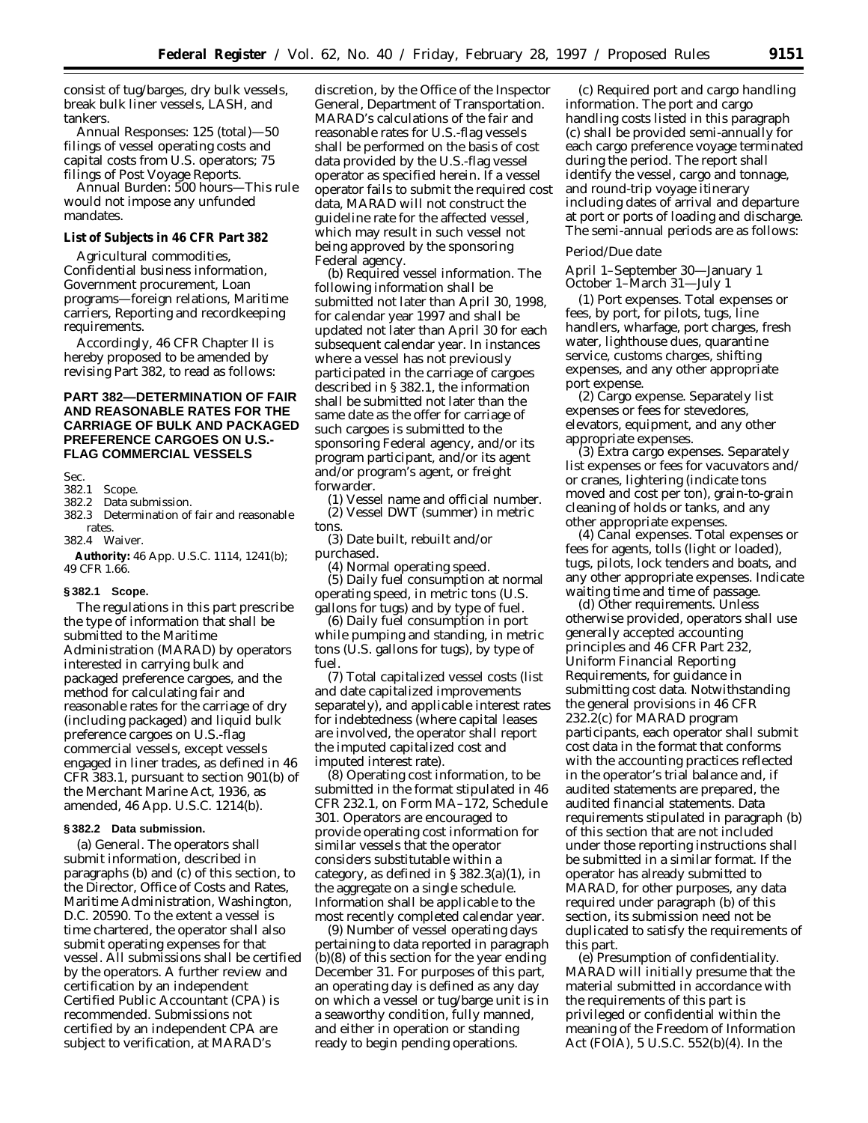consist of tug/barges, dry bulk vessels, break bulk liner vessels, LASH, and tankers.

*Annual Responses:* 125 (total)—50 filings of vessel operating costs and capital costs from U.S. operators; 75 filings of Post Voyage Reports.

*Annual Burden:* 500 hours—This rule would not impose any unfunded mandates.

**List of Subjects in 46 CFR Part 382**

Agricultural commodities, Confidential business information, Government procurement, Loan programs—foreign relations, Maritime carriers, Reporting and recordkeeping requirements.

Accordingly, 46 CFR Chapter II is hereby proposed to be amended by revising Part 382, to read as follows:

# **PART 382—DETERMINATION OF FAIR AND REASONABLE RATES FOR THE CARRIAGE OF BULK AND PACKAGED PREFERENCE CARGOES ON U.S.- FLAG COMMERCIAL VESSELS**

Sec.<br>382.1

# 382.1 Scope.<br>382.2 Data su

Data submission.

382.3 Determination of fair and reasonable rates.

382.4 Waiver.

**Authority:** 46 App. U.S.C. 1114, 1241(b); 49 CFR 1.66.

# **§ 382.1 Scope.**

The regulations in this part prescribe the type of information that shall be submitted to the Maritime Administration (MARAD) by operators interested in carrying bulk and packaged preference cargoes, and the method for calculating fair and reasonable rates for the carriage of dry (including packaged) and liquid bulk preference cargoes on U.S.-flag commercial vessels, except vessels engaged in liner trades, as defined in 46 CFR 383.1, pursuant to section 901(b) of the Merchant Marine Act, 1936, as amended, 46 App. U.S.C. 1214(b).

#### **§ 382.2 Data submission.**

(a) *General.* The operators shall submit information, described in paragraphs (b) and (c) of this section, to the Director, Office of Costs and Rates, Maritime Administration, Washington, D.C. 20590. To the extent a vessel is time chartered, the operator shall also submit operating expenses for that vessel. All submissions shall be certified by the operators. A further review and certification by an independent Certified Public Accountant (CPA) is recommended. Submissions not certified by an independent CPA are subject to verification, at MARAD's

discretion, by the Office of the Inspector General, Department of Transportation. MARAD's calculations of the fair and reasonable rates for U.S.-flag vessels shall be performed on the basis of cost data provided by the U.S.-flag vessel operator as specified herein. If a vessel operator fails to submit the required cost data, MARAD will not construct the guideline rate for the affected vessel, which may result in such vessel not being approved by the sponsoring Federal agency.

(b) *Required vessel information.* The following information shall be submitted not later than April 30, 1998, for calendar year 1997 and shall be updated not later than April 30 for each subsequent calendar year. In instances where a vessel has not previously participated in the carriage of cargoes described in § 382.1, the information shall be submitted not later than the same date as the offer for carriage of such cargoes is submitted to the sponsoring Federal agency, and/or its program participant, and/or its agent and/or program's agent, or freight forwarder.

(1) Vessel name and official number. (2) Vessel DWT (summer) in metric tons.

(3) Date built, rebuilt and/or purchased.

(4) Normal operating speed. (5) Daily fuel consumption at normal operating speed, in metric tons (U.S. gallons for tugs) and by type of fuel.

(6) Daily fuel consumption in port while pumping and standing, in metric tons (U.S. gallons for tugs), by type of fuel.

(7) Total capitalized vessel costs (list and date capitalized improvements separately), and applicable interest rates for indebtedness (where capital leases are involved, the operator shall report the imputed capitalized cost and imputed interest rate).

(8) Operating cost information, to be submitted in the format stipulated in 46 CFR 232.1, on Form MA–172, Schedule 301. Operators are encouraged to provide operating cost information for similar vessels that the operator considers substitutable within a category, as defined in  $\S 382.3(a)(1)$ , in the aggregate on a single schedule. Information shall be applicable to the most recently completed calendar year.

(9) Number of vessel operating days pertaining to data reported in paragraph (b)(8) of this section for the year ending December 31. For purposes of this part, an operating day is defined as any day on which a vessel or tug/barge unit is in a seaworthy condition, fully manned, and either in operation or standing ready to begin pending operations.

(c) *Required port and cargo handling information.* The port and cargo handling costs listed in this paragraph (c) shall be provided semi-annually for each cargo preference voyage terminated during the period. The report shall identify the vessel, cargo and tonnage, and round-trip voyage itinerary including dates of arrival and departure at port or ports of loading and discharge. The semi-annual periods are as follows:

# *Period/Due date*

April 1–September 30—January 1 October 1–March 31—July 1

(1) *Port expenses.* Total expenses or fees, by port, for pilots, tugs, line handlers, wharfage, port charges, fresh water, lighthouse dues, quarantine service, customs charges, shifting expenses, and any other appropriate port expense.

(2) *Cargo expense.* Separately list expenses or fees for stevedores, elevators, equipment, and any other appropriate expenses.

(3) *Extra cargo expenses.* Separately list expenses or fees for vacuvators and/ or cranes, lightering (indicate tons moved and cost per ton), grain-to-grain cleaning of holds or tanks, and any other appropriate expenses.

(4) *Canal expenses.* Total expenses or fees for agents, tolls (light or loaded), tugs, pilots, lock tenders and boats, and any other appropriate expenses. Indicate waiting time and time of passage.

(d) *Other requirements.* Unless otherwise provided, operators shall use generally accepted accounting principles and 46 CFR Part 232, Uniform Financial Reporting Requirements, for guidance in submitting cost data. Notwithstanding the general provisions in 46 CFR 232.2(c) for MARAD program participants, each operator shall submit cost data in the format that conforms with the accounting practices reflected in the operator's trial balance and, if audited statements are prepared, the audited financial statements. Data requirements stipulated in paragraph (b) of this section that are not included under those reporting instructions shall be submitted in a similar format. If the operator has already submitted to MARAD, for other purposes, any data required under paragraph (b) of this section, its submission need not be duplicated to satisfy the requirements of this part.

(e) *Presumption of confidentiality.* MARAD will initially presume that the material submitted in accordance with the requirements of this part is privileged or confidential within the meaning of the Freedom of Information Act (FOIA), 5 U.S.C. 552(b)(4). In the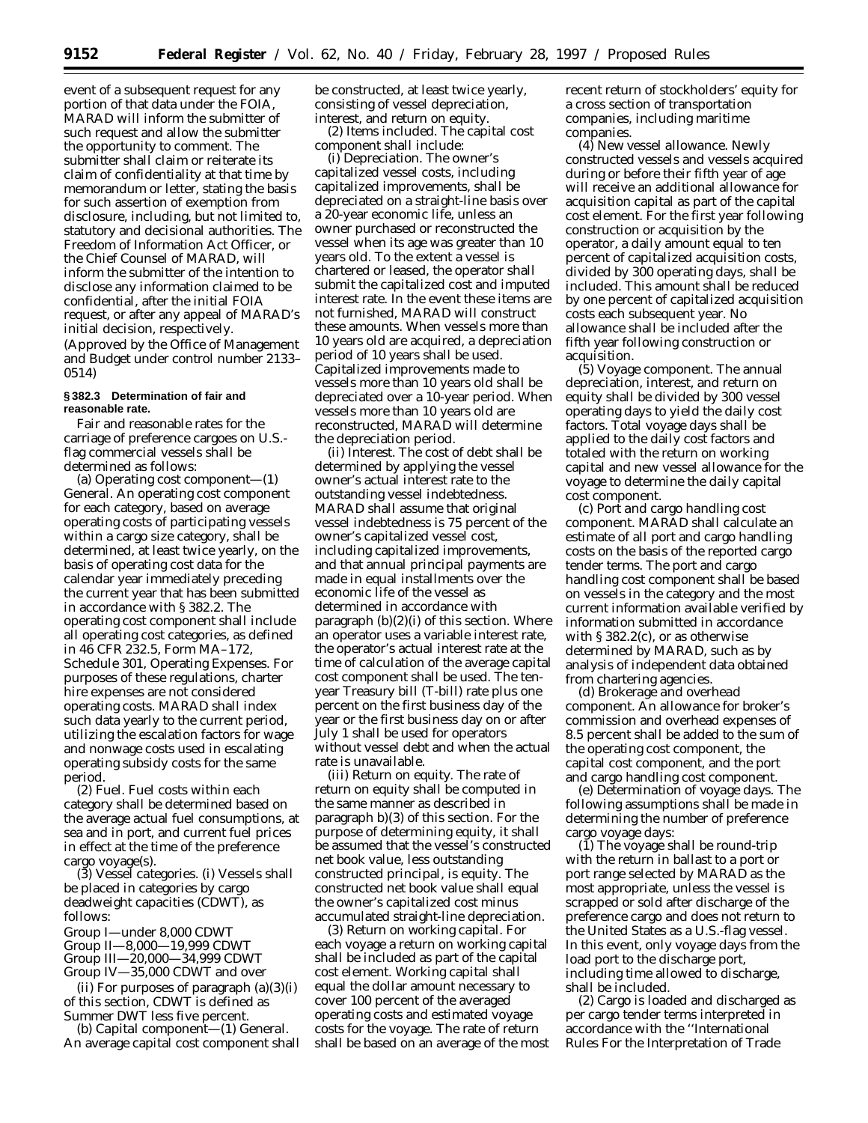event of a subsequent request for any portion of that data under the FOIA, MARAD will inform the submitter of such request and allow the submitter the opportunity to comment. The submitter shall claim or reiterate its claim of confidentiality at that time by memorandum or letter, stating the basis for such assertion of exemption from disclosure, including, but not limited to, statutory and decisional authorities. The Freedom of Information Act Officer, or the Chief Counsel of MARAD, will inform the submitter of the intention to disclose any information claimed to be confidential, after the initial FOIA request, or after any appeal of MARAD's initial decision, respectively. (Approved by the Office of Management and Budget under control number 2133– 0514)

# **§ 382.3 Determination of fair and reasonable rate.**

Fair and reasonable rates for the carriage of preference cargoes on U.S. flag commercial vessels shall be determined as follows:

(a) *Operating cost component*—(1) *General.* An operating cost component for each category, based on average operating costs of participating vessels within a cargo size category, shall be determined, at least twice yearly, on the basis of operating cost data for the calendar year immediately preceding the current year that has been submitted in accordance with § 382.2. The operating cost component shall include all operating cost categories, as defined in 46 CFR 232.5, Form MA–172, Schedule 301, Operating Expenses. For purposes of these regulations, charter hire expenses are not considered operating costs. MARAD shall index such data yearly to the current period, utilizing the escalation factors for wage and nonwage costs used in escalating operating subsidy costs for the same period.

(2) *Fuel.* Fuel costs within each category shall be determined based on the average actual fuel consumptions, at sea and in port, and current fuel prices in effect at the time of the preference cargo voyage(s).

(3) *Vessel categories.* (i) Vessels shall be placed in categories by cargo deadweight capacities (CDWT), as follows:

Group I—under 8,000 CDWT Group II—8,000—19,999 CDWT Group III—20,000—34,999 CDWT Group IV—35,000 CDWT and over

(ii) For purposes of paragraph  $(a)(3)(i)$ of this section, CDWT is defined as Summer DWT less five percent.

(b) *Capital component*—(1) *General.* An average capital cost component shall be constructed, at least twice yearly, consisting of vessel depreciation, interest, and return on equity.

(2) *Items included.* The capital cost component shall include:

(i) *Depreciation.* The owner's capitalized vessel costs, including capitalized improvements, shall be depreciated on a straight-line basis over a 20-year economic life, unless an owner purchased or reconstructed the vessel when its age was greater than 10 years old. To the extent a vessel is chartered or leased, the operator shall submit the capitalized cost and imputed interest rate. In the event these items are not furnished, MARAD will construct these amounts. When vessels more than 10 years old are acquired, a depreciation period of 10 years shall be used. Capitalized improvements made to vessels more than 10 years old shall be depreciated over a 10-year period. When vessels more than 10 years old are reconstructed, MARAD will determine the depreciation period.

(ii) *Interest.* The cost of debt shall be determined by applying the vessel owner's actual interest rate to the outstanding vessel indebtedness. MARAD shall assume that original vessel indebtedness is 75 percent of the owner's capitalized vessel cost, including capitalized improvements, and that annual principal payments are made in equal installments over the economic life of the vessel as determined in accordance with paragraph (b)(2)(i) of this section. Where an operator uses a variable interest rate, the operator's actual interest rate at the time of calculation of the average capital cost component shall be used. The tenyear Treasury bill (T-bill) rate plus one percent on the first business day of the year or the first business day on or after July 1 shall be used for operators without vessel debt and when the actual rate is unavailable.

(iii) *Return on equity.* The rate of return on equity shall be computed in the same manner as described in paragraph b)(3) of this section. For the purpose of determining equity, it shall be assumed that the vessel's constructed net book value, less outstanding constructed principal, is equity. The constructed net book value shall equal the owner's capitalized cost minus accumulated straight-line depreciation.

(3) *Return on working capital.* For each voyage a return on working capital shall be included as part of the capital cost element. Working capital shall equal the dollar amount necessary to cover 100 percent of the averaged operating costs and estimated voyage costs for the voyage. The rate of return shall be based on an average of the most recent return of stockholders' equity for a cross section of transportation companies, including maritime companies.

(4) *New vessel allowance.* Newly constructed vessels and vessels acquired during or before their fifth year of age will receive an additional allowance for acquisition capital as part of the capital cost element. For the first year following construction or acquisition by the operator, a daily amount equal to ten percent of capitalized acquisition costs, divided by 300 operating days, shall be included. This amount shall be reduced by one percent of capitalized acquisition costs each subsequent year. No allowance shall be included after the fifth year following construction or acquisition.

(5) *Voyage component.* The annual depreciation, interest, and return on equity shall be divided by 300 vessel operating days to yield the daily cost factors. Total voyage days shall be applied to the daily cost factors and totaled with the return on working capital and new vessel allowance for the voyage to determine the daily capital cost component.

(c) *Port and cargo handling cost component.* MARAD shall calculate an estimate of all port and cargo handling costs on the basis of the reported cargo tender terms. The port and cargo handling cost component shall be based on vessels in the category and the most current information available verified by information submitted in accordance with § 382.2(c), or as otherwise determined by MARAD, such as by analysis of independent data obtained from chartering agencies.

(d) *Brokerage and overhead component.* An allowance for broker's commission and overhead expenses of 8.5 percent shall be added to the sum of the operating cost component, the capital cost component, and the port and cargo handling cost component.

(e) *Determination of voyage days.* The following assumptions shall be made in determining the number of preference cargo voyage days:

(1) The voyage shall be round-trip with the return in ballast to a port or port range selected by MARAD as the most appropriate, unless the vessel is scrapped or sold after discharge of the preference cargo and does not return to the United States as a U.S.-flag vessel. In this event, only voyage days from the load port to the discharge port, including time allowed to discharge, shall be included.

(2) Cargo is loaded and discharged as per cargo tender terms interpreted in accordance with the ''International Rules For the Interpretation of Trade